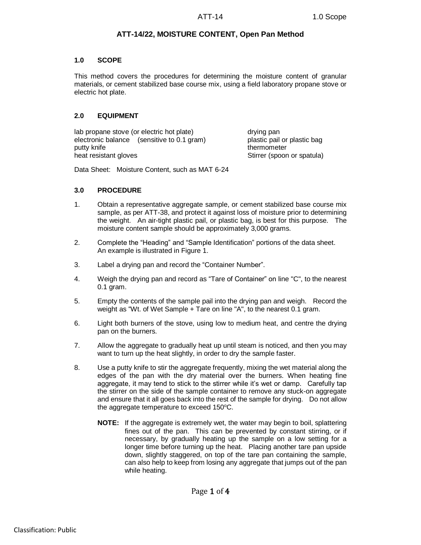# **ATT-14/22, MOISTURE CONTENT, Open Pan Method**

### **1.0 SCOPE**

This method covers the procedures for determining the moisture content of granular materials, or cement stabilized base course mix, using a field laboratory propane stove or electric hot plate.

## **2.0 EQUIPMENT**

lab propane stove (or electric hot plate) drying pan electronic balance (sensitive to 0.1 gram) plastic pail or plastic bag putty knife thermometer thermometer heat resistant gloves stirrer (spoon or spatula)

Data Sheet: Moisture Content, such as MAT 6-24

# **3.0 PROCEDURE**

- 1. Obtain a representative aggregate sample, or cement stabilized base course mix sample, as per ATT-38, and protect it against loss of moisture prior to determining the weight. An air-tight plastic pail, or plastic bag, is best for this purpose. The moisture content sample should be approximately 3,000 grams.
- 2. Complete the "Heading" and "Sample Identification" portions of the data sheet. An example is illustrated in Figure 1.
- 3. Label a drying pan and record the "Container Number".
- 4. Weigh the drying pan and record as "Tare of Container" on line "C", to the nearest 0.1 gram.
- 5. Empty the contents of the sample pail into the drying pan and weigh. Record the weight as "Wt. of Wet Sample + Tare on line "A", to the nearest 0.1 gram.
- 6. Light both burners of the stove, using low to medium heat, and centre the drying pan on the burners.
- 7. Allow the aggregate to gradually heat up until steam is noticed, and then you may want to turn up the heat slightly, in order to dry the sample faster.
- 8. Use a putty knife to stir the aggregate frequently, mixing the wet material along the edges of the pan with the dry material over the burners. When heating fine aggregate, it may tend to stick to the stirrer while it's wet or damp. Carefully tap the stirrer on the side of the sample container to remove any stuck-on aggregate and ensure that it all goes back into the rest of the sample for drying. Do not allow the aggregate temperature to exceed  $150^{\circ}$ C.
	- **NOTE:** If the aggregate is extremely wet, the water may begin to boil, splattering fines out of the pan. This can be prevented by constant stirring, or if necessary, by gradually heating up the sample on a low setting for a longer time before turning up the heat. Placing another tare pan upside down, slightly staggered, on top of the tare pan containing the sample, can also help to keep from losing any aggregate that jumps out of the pan while heating.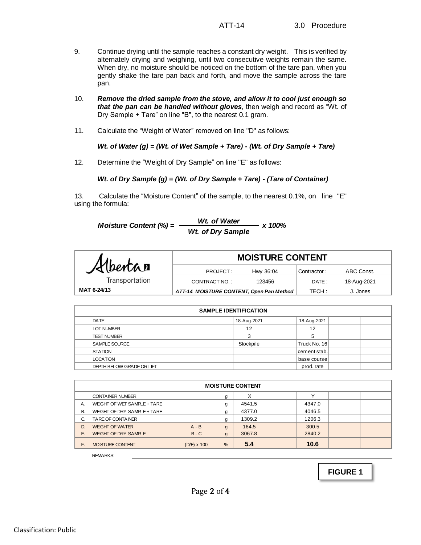- 9. Continue drying until the sample reaches a constant dry weight. This is verified by alternately drying and weighing, until two consecutive weights remain the same. When dry, no moisture should be noticed on the bottom of the tare pan, when you gently shake the tare pan back and forth, and move the sample across the tare pan.
- 10. *Remove the dried sample from the stove, and allow it to cool just enough so that the pan can be handled without gloves*, then weigh and record as "Wt. of Dry Sample + Tare" on line "B", to the nearest 0.1 gram.
- 11. Calculate the "Weight of Water" removed on line "D" as follows:

*Wt. of Water (g) = (Wt. of Wet Sample + Tare) - (Wt. of Dry Sample + Tare)*

12. Determine the "Weight of Dry Sample" on line "E" as follows:

## *Wt. of Dry Sample (g) = (Wt. of Dry Sample + Tare) - (Tare of Container)*

13. Calculate the "Moisture Content" of the sample, to the nearest 0.1%, on line "E" using the formula:

Moisture Content (%) = 
$$
\frac{Wt. \text{ of Water}}{Wt. \text{ of Dry Sample}} \times 100\%
$$

|                | <b>MOISTURE CONTENT</b>                  |           |             |             |  |
|----------------|------------------------------------------|-----------|-------------|-------------|--|
| Albertan       | PROJECT:                                 | Hwy 36:04 | Contractor: | ABC Const.  |  |
| Transportation | CONTRACT NO.:                            | 123456    | DATE:       | 18-Aug-2021 |  |
| MAT 6-24/13    | ATT-14 MOISTURE CONTENT, Open Pan Method |           | TECH:       | J. Jones    |  |

| <b>SAMPLE IDENTIFICATION</b> |             |              |  |  |  |  |  |  |
|------------------------------|-------------|--------------|--|--|--|--|--|--|
| DATE                         | 18-Aug-2021 | 18-Aug-2021  |  |  |  |  |  |  |
| <b>LOT NUMBER</b>            | 12          | 12           |  |  |  |  |  |  |
| <b>TEST NUMBER</b>           | 3           | 5            |  |  |  |  |  |  |
| SAMPLE SOURCE                | Stockpile   | Truck No. 16 |  |  |  |  |  |  |
| <b>STATION</b>               |             | cement stab. |  |  |  |  |  |  |
| <b>LOCATION</b>              |             | base course  |  |  |  |  |  |  |
| DEPTH BELOW GRADE OR LIFT    |             | prod. rate   |  |  |  |  |  |  |

|    | <b>MOISTURE CONTENT</b>     |                    |                |        |              |  |  |  |  |  |
|----|-----------------------------|--------------------|----------------|--------|--------------|--|--|--|--|--|
|    | <b>CONTAINER NUMBER</b>     |                    | g              | X      | $\checkmark$ |  |  |  |  |  |
| Α. | WEIGHT OF WET SAMPLE + TARE |                    | g              | 4541.5 | 4347.0       |  |  |  |  |  |
| В. | WEIGHT OF DRY SAMPLE + TARE |                    | g              | 4377.0 | 4046.5       |  |  |  |  |  |
| C. | <b>TARE OF CONTAINER</b>    |                    | g              | 1309.2 | 1206.3       |  |  |  |  |  |
| D. | <b>WEIGHT OF WATER</b>      | $A - B$            | $\mathfrak{g}$ | 164.5  | 300.5        |  |  |  |  |  |
| E. | <b>WEIGHT OF DRY SAMPLE</b> | $B - C$            | $\mathbf{q}$   | 3067.8 | 2840.2       |  |  |  |  |  |
| E. | <b>MOISTURE CONTENT</b>     | $(D/E) \times 100$ | %              | 5.4    | 10.6         |  |  |  |  |  |

REMARKS:

**FIGURE 1**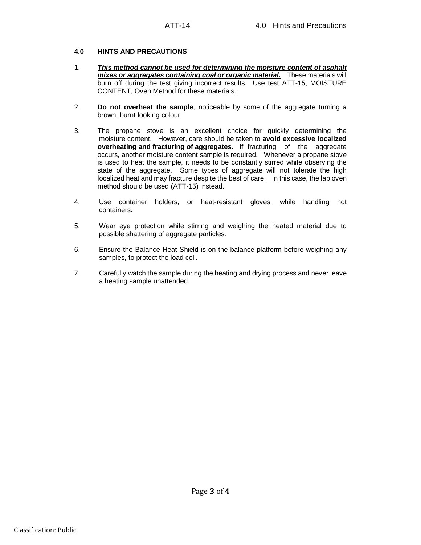### **4.0 HINTS AND PRECAUTIONS**

- 1. *This method cannot be used for determining the moisture content of asphalt mixes or aggregates containing coal or organic material.* These materials will burn off during the test giving incorrect results. Use test ATT-15, MOISTURE CONTENT, Oven Method for these materials.
- 2. **Do not overheat the sample**, noticeable by some of the aggregate turning a brown, burnt looking colour.
- 3. The propane stove is an excellent choice for quickly determining the moisture content. However, care should be taken to **avoid excessive localized overheating and fracturing of aggregates.** If fracturing of the aggregate occurs, another moisture content sample is required. Whenever a propane stove is used to heat the sample, it needs to be constantly stirred while observing the state of the aggregate. Some types of aggregate will not tolerate the high localized heat and may fracture despite the best of care. In this case, the lab oven method should be used (ATT-15) instead.
- 4. Use container holders, or heat-resistant gloves, while handling hot containers.
- 5. Wear eye protection while stirring and weighing the heated material due to possible shattering of aggregate particles.
- 6. Ensure the Balance Heat Shield is on the balance platform before weighing any samples, to protect the load cell.
- 7. Carefully watch the sample during the heating and drying process and never leave a heating sample unattended.